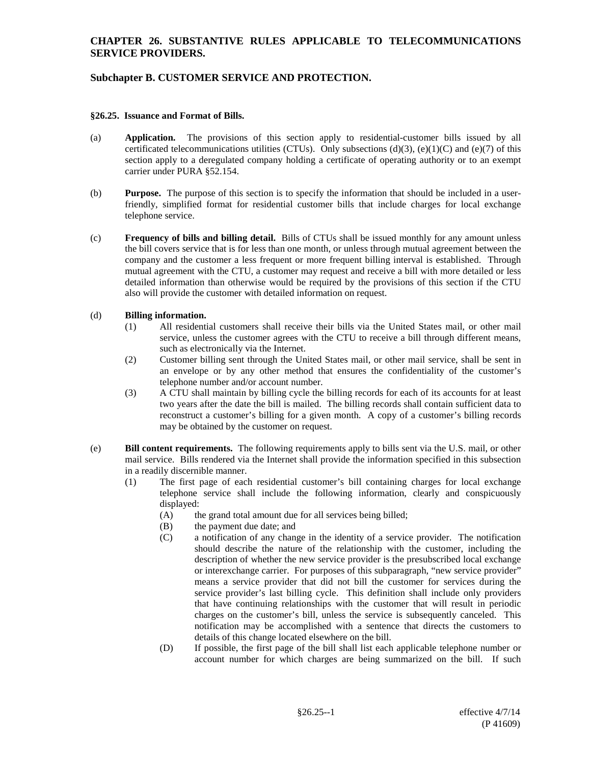# **Subchapter B. CUSTOMER SERVICE AND PROTECTION.**

#### **§26.25. Issuance and Format of Bills.**

- (a) **Application.** The provisions of this section apply to residential-customer bills issued by all certificated telecommunications utilities (CTUs). Only subsections (d)(3), (e)(1)(C) and (e)(7) of this section apply to a deregulated company holding a certificate of operating authority or to an exempt carrier under PURA §52.154.
- (b) **Purpose.** The purpose of this section is to specify the information that should be included in a userfriendly, simplified format for residential customer bills that include charges for local exchange telephone service.
- (c) **Frequency of bills and billing detail.** Bills of CTUs shall be issued monthly for any amount unless the bill covers service that is for less than one month, or unless through mutual agreement between the company and the customer a less frequent or more frequent billing interval is established. Through mutual agreement with the CTU, a customer may request and receive a bill with more detailed or less detailed information than otherwise would be required by the provisions of this section if the CTU also will provide the customer with detailed information on request.

### (d) **Billing information.**

- (1) All residential customers shall receive their bills via the United States mail, or other mail service, unless the customer agrees with the CTU to receive a bill through different means, such as electronically via the Internet.
- (2) Customer billing sent through the United States mail, or other mail service, shall be sent in an envelope or by any other method that ensures the confidentiality of the customer's telephone number and/or account number.
- (3) A CTU shall maintain by billing cycle the billing records for each of its accounts for at least two years after the date the bill is mailed. The billing records shall contain sufficient data to reconstruct a customer's billing for a given month. A copy of a customer's billing records may be obtained by the customer on request.
- (e) **Bill content requirements.** The following requirements apply to bills sent via the U.S. mail, or other mail service. Bills rendered via the Internet shall provide the information specified in this subsection in a readily discernible manner.
	- (1) The first page of each residential customer's bill containing charges for local exchange telephone service shall include the following information, clearly and conspicuously  $displaced:$ <br> $(A)$  th
		- the grand total amount due for all services being billed;
		- (B) the payment due date; and
		- (C) a notification of any change in the identity of a service provider. The notification should describe the nature of the relationship with the customer, including the description of whether the new service provider is the presubscribed local exchange or interexchange carrier. For purposes of this subparagraph, "new service provider" means a service provider that did not bill the customer for services during the service provider's last billing cycle. This definition shall include only providers that have continuing relationships with the customer that will result in periodic charges on the customer's bill, unless the service is subsequently canceled. This notification may be accomplished with a sentence that directs the customers to details of this change located elsewhere on the bill.
		- (D) If possible, the first page of the bill shall list each applicable telephone number or account number for which charges are being summarized on the bill. If such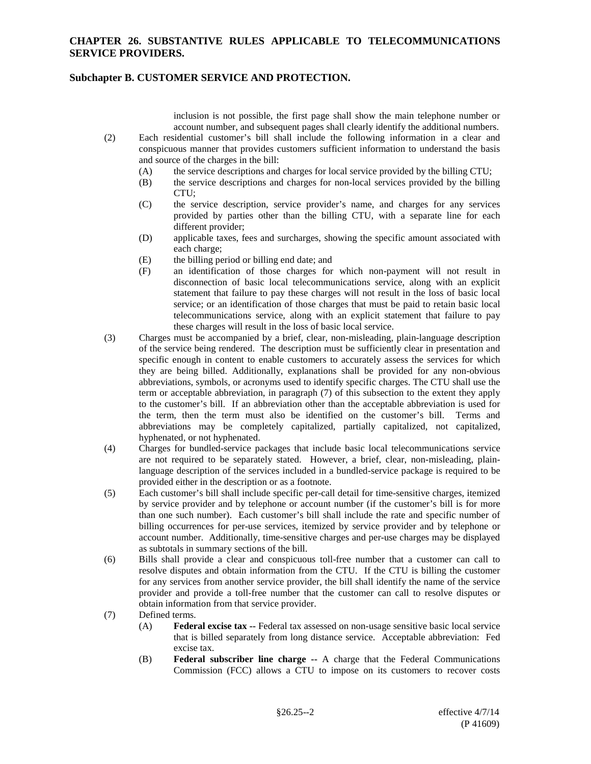### **Subchapter B. CUSTOMER SERVICE AND PROTECTION.**

inclusion is not possible, the first page shall show the main telephone number or account number, and subsequent pages shall clearly identify the additional numbers.

- (2) Each residential customer's bill shall include the following information in a clear and conspicuous manner that provides customers sufficient information to understand the basis and source of the charges in the bill:
	- (A) the service descriptions and charges for local service provided by the billing CTU;
	- (B) the service descriptions and charges for non-local services provided by the billing CTU;
	- (C) the service description, service provider's name, and charges for any services provided by parties other than the billing CTU, with a separate line for each different provider;
	- (D) applicable taxes, fees and surcharges, showing the specific amount associated with each charge;
	- (E) the billing period or billing end date; and
	- (F) an identification of those charges for which non-payment will not result in disconnection of basic local telecommunications service, along with an explicit statement that failure to pay these charges will not result in the loss of basic local service; or an identification of those charges that must be paid to retain basic local telecommunications service, along with an explicit statement that failure to pay these charges will result in the loss of basic local service.
- (3) Charges must be accompanied by a brief, clear, non-misleading, plain-language description of the service being rendered. The description must be sufficiently clear in presentation and specific enough in content to enable customers to accurately assess the services for which they are being billed. Additionally, explanations shall be provided for any non-obvious abbreviations, symbols, or acronyms used to identify specific charges. The CTU shall use the term or acceptable abbreviation, in paragraph (7) of this subsection to the extent they apply to the customer's bill. If an abbreviation other than the acceptable abbreviation is used for the term, then the term must also be identified on the customer's bill. Terms and abbreviations may be completely capitalized, partially capitalized, not capitalized, hyphenated, or not hyphenated.
- (4) Charges for bundled-service packages that include basic local telecommunications service are not required to be separately stated. However, a brief, clear, non-misleading, plainlanguage description of the services included in a bundled-service package is required to be provided either in the description or as a footnote.
- (5) Each customer's bill shall include specific per-call detail for time-sensitive charges, itemized by service provider and by telephone or account number (if the customer's bill is for more than one such number). Each customer's bill shall include the rate and specific number of billing occurrences for per-use services, itemized by service provider and by telephone or account number. Additionally, time-sensitive charges and per-use charges may be displayed as subtotals in summary sections of the bill.
- (6) Bills shall provide a clear and conspicuous toll-free number that a customer can call to resolve disputes and obtain information from the CTU. If the CTU is billing the customer for any services from another service provider, the bill shall identify the name of the service provider and provide a toll-free number that the customer can call to resolve disputes or obtain information from that service provider.
- (7) Defined terms.
	- (A) **Federal excise tax --** Federal tax assessed on non-usage sensitive basic local service that is billed separately from long distance service. Acceptable abbreviation: Fed excise tax.
	- (B) **Federal subscriber line charge --** A charge that the Federal Communications Commission (FCC) allows a CTU to impose on its customers to recover costs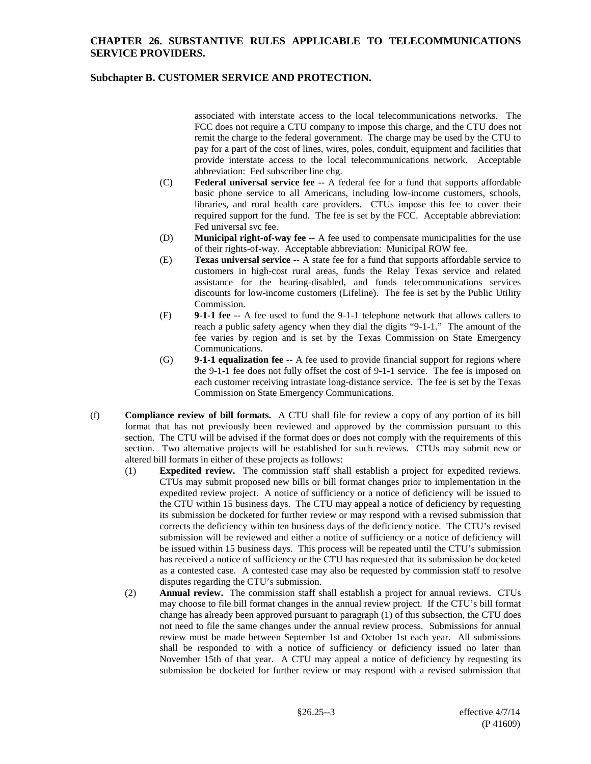# **Subchapter B. CUSTOMER SERVICE AND PROTECTION.**

associated with interstate access to the local telecommunications networks. The FCC does not require a CTU company to impose this charge, and the CTU does not remit the charge to the federal government. The charge may be used by the CTU to pay for a part of the cost of lines, wires, poles, conduit, equipment and facilities that provide interstate access to the local telecommunications network. Acceptable abbreviation: Fed subscriber line chg.

- (C) **Federal universal service fee --** A federal fee for a fund that supports affordable basic phone service to all Americans, including low-income customers, schools, libraries, and rural health care providers. CTUs impose this fee to cover their required support for the fund. The fee is set by the FCC. Acceptable abbreviation: Fed universal svc fee.
- (D) **Municipal right-of-way fee --** A fee used to compensate municipalities for the use of their rights-of-way. Acceptable abbreviation: Municipal ROW fee.
- (E) **Texas universal service --** A state fee for a fund that supports affordable service to customers in high-cost rural areas, funds the Relay Texas service and related assistance for the hearing-disabled, and funds telecommunications services discounts for low-income customers (Lifeline). The fee is set by the Public Utility Commission.
- (F) **9-1-1 fee --** A fee used to fund the 9-1-1 telephone network that allows callers to reach a public safety agency when they dial the digits "9-1-1." The amount of the fee varies by region and is set by the Texas Commission on State Emergency Communications.
- (G) **9-1-1 equalization fee --** A fee used to provide financial support for regions where the 9-1-1 fee does not fully offset the cost of 9-1-1 service. The fee is imposed on each customer receiving intrastate long-distance service. The fee is set by the Texas Commission on State Emergency Communications.
- (f) **Compliance review of bill formats.** A CTU shall file for review a copy of any portion of its bill format that has not previously been reviewed and approved by the commission pursuant to this section. The CTU will be advised if the format does or does not comply with the requirements of this section. Two alternative projects will be established for such reviews. CTUs may submit new or altered bill formats in either of these projects as follows:
	- (1) **Expedited review.** The commission staff shall establish a project for expedited reviews. CTUs may submit proposed new bills or bill format changes prior to implementation in the expedited review project. A notice of sufficiency or a notice of deficiency will be issued to the CTU within 15 business days. The CTU may appeal a notice of deficiency by requesting its submission be docketed for further review or may respond with a revised submission that corrects the deficiency within ten business days of the deficiency notice. The CTU's revised submission will be reviewed and either a notice of sufficiency or a notice of deficiency will be issued within 15 business days. This process will be repeated until the CTU's submission has received a notice of sufficiency or the CTU has requested that its submission be docketed as a contested case. A contested case may also be requested by commission staff to resolve disputes regarding the CTU's submission.
	- (2) **Annual review.** The commission staff shall establish a project for annual reviews. CTUs may choose to file bill format changes in the annual review project. If the CTU's bill format change has already been approved pursuant to paragraph (1) of this subsection, the CTU does not need to file the same changes under the annual review process. Submissions for annual review must be made between September 1st and October 1st each year. All submissions shall be responded to with a notice of sufficiency or deficiency issued no later than November 15th of that year. A CTU may appeal a notice of deficiency by requesting its submission be docketed for further review or may respond with a revised submission that